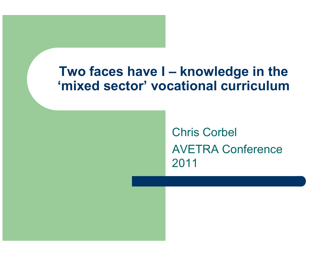### Two faces have I – knowledge in the 'mixed sector' vocational curriculum

Chris CorbelAVETRA Conference 2011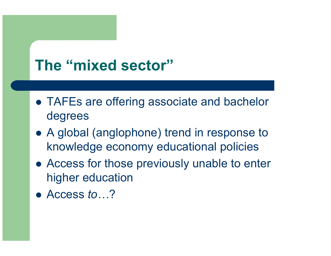## The "mixed sector"

- TAFEs are offering associate and bachelor degrees
- A global (anglophone) trend in response to knowledge economy educational policies
- Access for those previously unable to enter higher education
- Access to...?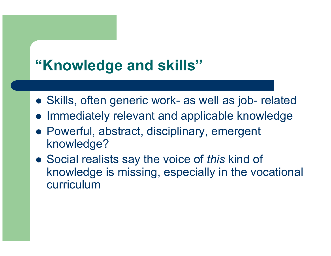# "Knowledge and skills"

- Skills, often generic work- as well as job- related
- **Immediately relevant and applicable knowledge**
- Powerful, abstract, disciplinary, emergent knowledge?
- Social realists say the voice of this kind of knowledge is missing, especially in the vocational curriculum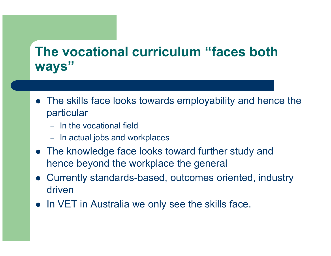## The vocational curriculum "faces both" ways"

- The skills face looks towards employability and hence the particular
	- In the vocational field
	- In actual jobs and workplaces
- The knowledge face looks toward further study and hence beyond the workplace the general
- Currently standards-based, outcomes oriented, industry driven
- In VET in Australia we only see the skills face.